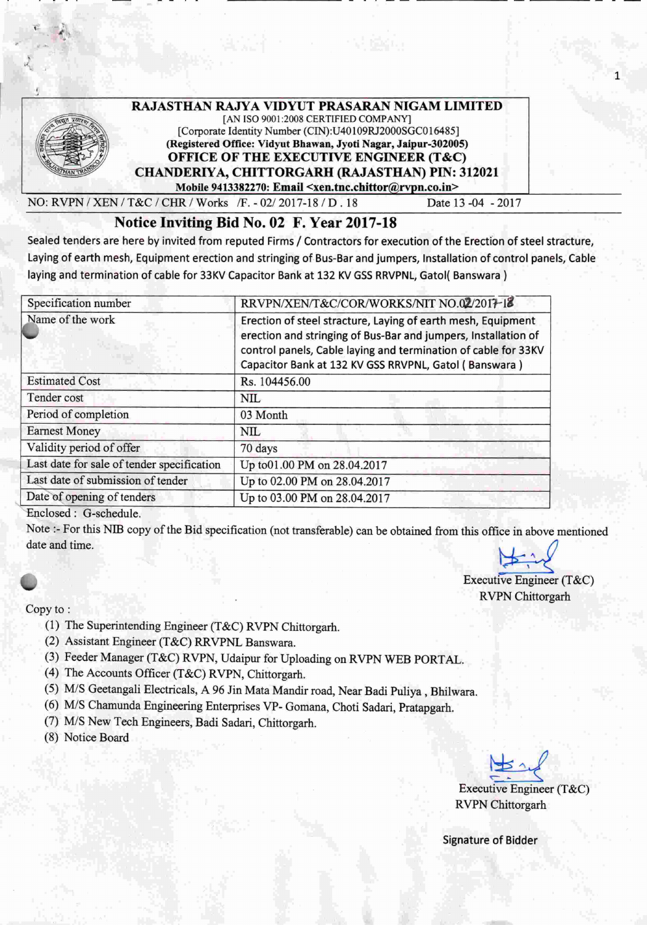

*NO:RvPN/XEN/T&C!CHR/Works 1F.-02/2017-18/D.18* Date 13-04 -2017

1

## Notice Inviting Bid No. 02 F. Year 2017-18

Sealed tenders are here by invited from reputed Firms / Contractors for execution of the Erection of steel stracture, Laying of earth mesh, Equipment erection and stringing of Bus-Bar and jumpers, Installation of control panels, Cable laying and termination of cable for 33KV Capacitor Bank at 132 KV GSS RRVPNL, Gatol( Banswara )

| Specification number                       | RRVPN/XEN/T&C/COR/WORKS/NIT NO.02/2017-18                                                                                                                                                                                                                 |
|--------------------------------------------|-----------------------------------------------------------------------------------------------------------------------------------------------------------------------------------------------------------------------------------------------------------|
| Name of the work                           | Erection of steel stracture, Laying of earth mesh, Equipment<br>erection and stringing of Bus-Bar and jumpers, Installation of<br>control panels, Cable laying and termination of cable for 33KV<br>Capacitor Bank at 132 KV GSS RRVPNL, Gatol (Banswara) |
| <b>Estimated Cost</b>                      | Rs. 104456.00                                                                                                                                                                                                                                             |
| Tender cost                                | <b>NIL</b>                                                                                                                                                                                                                                                |
| Period of completion                       | 03 Month                                                                                                                                                                                                                                                  |
| <b>Earnest Money</b>                       | NIL                                                                                                                                                                                                                                                       |
| Validity period of offer                   | 70 days                                                                                                                                                                                                                                                   |
| Last date for sale of tender specification | Up to 01.00 PM on 28.04.2017                                                                                                                                                                                                                              |
| Last date of submission of tender          | Up to 02.00 PM on 28.04.2017                                                                                                                                                                                                                              |
| Date of opening of tenders                 | Up to 03.00 PM on 28.04.2017                                                                                                                                                                                                                              |

Enclosed: G-schedule.

Note :- For this NIB copy of the Bid specification (not transferable) can be obtained from this office in above mentioned date and time.

## Copy to:

- (1) The SUperintending Engineer (T&C) RVPN Chittorgarh.
- (2) Assistant Engineer (T&C) RRVPNL Banswara.
- (3) Feeder Manager (T&C) RVPN, Udaipur for Uploading on RVPN WEB PORTAL
- (4) The Accounts Officer (T&C) RVPN, Chittorgarh.
- *(5) MIS* Geetangali Electricals, A 96 Jin Mata Mandir road, Near Badi Puliya , Bhilwara.
- (6) MIS Chamunda Engineering Enterprises VP- Gomana, Choti Sadari, Pratapgarh.
- (7) M/S New Tech Engineers, Badi Sadari, Chittorgarh.
- (8) Notice Board

~.

Executive Engineer (T&C) RVPN Chittorgarh

Executive Engineer (T&C) RVPN Chittorgarh

Signature of Bidder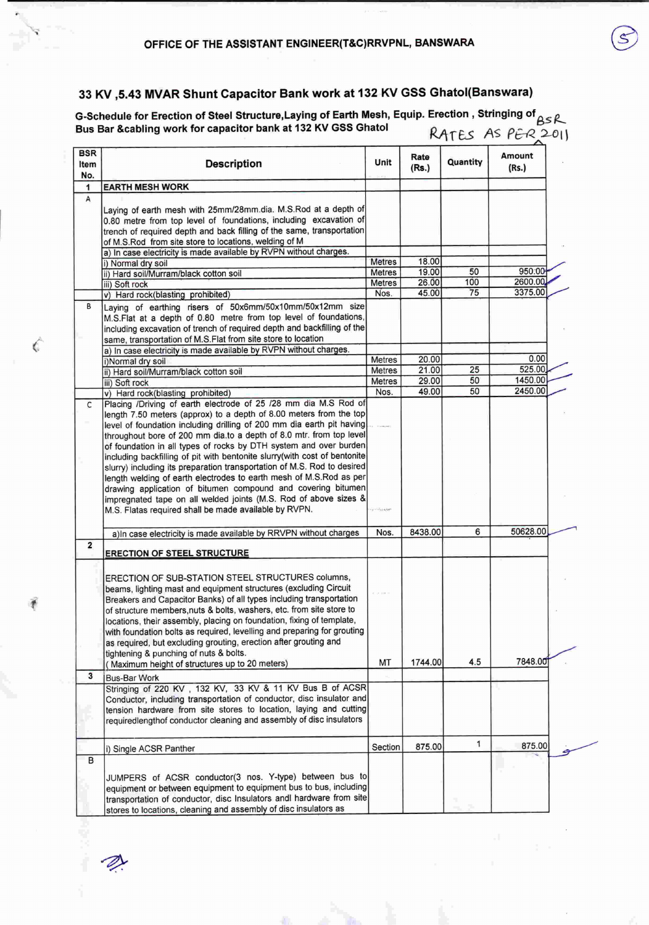## 33 KV ,5.43 MVAR Shunt Capacitor Bank work at 132 KV GSS Ghatol(Banswara)

G-Schedule for Erection of Steel Structure, Laying of Earth Mesh, Equip. Erection, Stringing of  $_{\beta\leq\mathcal{R}}$ Bus Bar &cabling work for capacitor bank at 132 KV GSS Ghatol **RATES** AS PER 2011

| BSR<br>Item             | <b>Description</b>                                                                                                                        | Unit                   | Rate<br>(Rs.) | Quantity  | Amount<br>(Rs.)   |
|-------------------------|-------------------------------------------------------------------------------------------------------------------------------------------|------------------------|---------------|-----------|-------------------|
| No.<br>1                | <b>EARTH MESH WORK</b>                                                                                                                    |                        |               |           |                   |
| А                       |                                                                                                                                           |                        |               |           |                   |
|                         | Laving of earth mesh with 25mm/28mm.dia. M.S.Rod at a depth of                                                                            |                        |               |           |                   |
|                         | 0.80 metre from top level of foundations, including excavation of                                                                         |                        |               |           |                   |
|                         | trench of required depth and back filling of the same, transportation                                                                     |                        |               |           |                   |
|                         | of M.S.Rod from site store to locations, welding of M                                                                                     |                        |               |           |                   |
|                         | a) In case electricity is made available by RVPN without charges.                                                                         |                        |               |           |                   |
|                         | i) Normal dry soil                                                                                                                        | <b>Metres</b>          | 18.00         |           |                   |
|                         | ii) Hard soil/Murram/black cotton soil                                                                                                    | Metres                 | 19.00         | 50        | 950.00<br>2600.00 |
|                         | iii) Soft rock                                                                                                                            | <b>Metres</b>          | 26.00         | 100<br>75 | 3375.00           |
|                         | v) Hard rock(blasting prohibited)                                                                                                         | Nos.                   | 45.00         |           |                   |
| в                       | Laying of earthing risers of 50x6mm/50x10mm/50x12mm size                                                                                  |                        |               |           |                   |
|                         | M.S.Flat at a depth of 0.80 metre from top level of foundations,                                                                          |                        |               |           |                   |
|                         | including excavation of trench of required depth and backfilling of the                                                                   |                        |               |           |                   |
|                         | same, transportation of M.S.Flat from site store to location<br>a) In case electricity is made available by RVPN without charges.         |                        |               |           |                   |
|                         |                                                                                                                                           | Metres                 | 20.00         |           | 0.00              |
|                         | i)Normal dry soil<br>ii) Hard soil/Murram/black cotton soil                                                                               | Metres                 | 21.00         | 25        | 525.00            |
|                         | iii) Soft rock                                                                                                                            | Metres                 | 29.00         | 50        | 1450.00           |
|                         | v) Hard rock(blasting prohibited)                                                                                                         | Nos.                   | 49.00         | 50        | 2450.00           |
| C                       | Placing /Driving of earth electrode of 25 /28 mm dia M.S Rod of                                                                           |                        |               |           |                   |
|                         | length 7.50 meters (approx) to a depth of 8.00 meters from the top                                                                        |                        |               |           |                   |
|                         | level of foundation including drilling of 200 mm dia earth pit having                                                                     |                        |               |           |                   |
|                         | throughout bore of 200 mm dia.to a depth of 8.0 mtr. from top level                                                                       |                        |               |           |                   |
|                         | of foundation in all types of rocks by DTH system and over burden                                                                         |                        |               |           |                   |
|                         | including backfilling of pit with bentonite slurry(with cost of bentonite                                                                 |                        |               |           |                   |
|                         | slurry) including its preparation transportation of M.S. Rod to desired                                                                   |                        |               |           |                   |
|                         | length welding of earth electrodes to earth mesh of M.S.Rod as per                                                                        |                        |               |           |                   |
|                         | drawing application of bitumen compound and covering bitumen                                                                              |                        |               |           |                   |
|                         | impregnated tape on all welded joints (M.S. Rod of above sizes &                                                                          |                        |               |           |                   |
|                         | M.S. Flatas required shall be made available by RVPN.                                                                                     | <b>Political Admin</b> |               |           |                   |
|                         |                                                                                                                                           |                        |               |           |                   |
| $\overline{\mathbf{2}}$ | a)In case electricity is made available by RRVPN without charges                                                                          | Nos.                   | 8438.00       | 6         | 50628.00          |
|                         | <b>ERECTION OF STEEL STRUCTURE</b>                                                                                                        |                        |               |           |                   |
|                         |                                                                                                                                           |                        |               |           |                   |
|                         | ERECTION OF SUB-STATION STEEL STRUCTURES columns,                                                                                         |                        |               |           |                   |
|                         | beams, lighting mast and equipment structures (excluding Circuit                                                                          |                        |               |           |                   |
|                         | Breakers and Capacitor Banks) of all types including transportation                                                                       |                        |               |           |                   |
|                         | of structure members, nuts & bolts, washers, etc. from site store to                                                                      |                        |               |           |                   |
|                         | locations, their assembly, placing on foundation, fixing of template,                                                                     |                        |               |           |                   |
|                         | with foundation bolts as required, levelling and preparing for grouting                                                                   |                        |               |           |                   |
|                         | as required, but excluding grouting, erection after grouting and                                                                          |                        |               |           |                   |
|                         | tightening & punching of nuts & bolts.                                                                                                    |                        |               |           |                   |
|                         | (Maximum height of structures up to 20 meters)                                                                                            | МT                     | 1744.00       | 4.5       | 7848.00           |
| 3                       | <b>Bus-Bar Work</b>                                                                                                                       |                        |               |           |                   |
|                         | Stringing of 220 KV, 132 KV, 33 KV & 11 KV Bus B of ACSR                                                                                  |                        |               |           |                   |
|                         | Conductor, including transportation of conductor, disc insulator and                                                                      |                        |               |           |                   |
|                         | tension hardware from site stores to location, laying and cutting                                                                         |                        |               |           |                   |
|                         | requiredlengthof conductor cleaning and assembly of disc insulators                                                                       |                        |               |           |                   |
|                         |                                                                                                                                           |                        |               |           |                   |
|                         | i) Single ACSR Panther                                                                                                                    | Section                | 875.00        | 1         | 875.00            |
| в                       |                                                                                                                                           |                        |               |           |                   |
|                         |                                                                                                                                           |                        |               |           |                   |
|                         |                                                                                                                                           |                        |               |           |                   |
|                         | JUMPERS of ACSR conductor(3 nos. Y-type) between bus to                                                                                   |                        |               |           |                   |
|                         | equipment or between equipment to equipment bus to bus, including<br>transportation of conductor, disc Insulators andI hardware from site |                        |               |           |                   |

Ć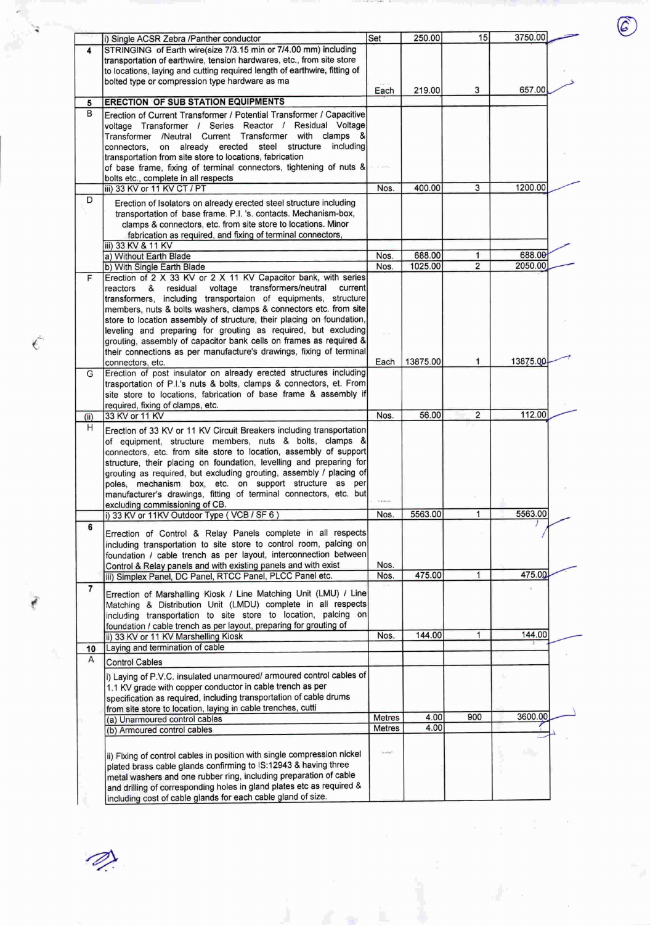|                | i) Single ACSR Zebra /Panther conductor                                                                                            | Set        | 250.00   | 15                      | 3750.00  |  |
|----------------|------------------------------------------------------------------------------------------------------------------------------------|------------|----------|-------------------------|----------|--|
| 4              | STRINGING of Earth wire(size 7/3.15 min or 7/4.00 mm) including                                                                    |            |          |                         |          |  |
|                | transportation of earthwire, tension hardwares, etc., from site store                                                              |            |          |                         |          |  |
|                | to locations, laying and cutting required length of earthwire, fitting of                                                          |            |          |                         |          |  |
|                | bolted type or compression type hardware as ma                                                                                     | Each       | 219.00   | 3                       | 657.00   |  |
| 5              | <b>ERECTION OF SUB STATION EQUIPMENTS</b>                                                                                          |            |          |                         |          |  |
| B              |                                                                                                                                    |            |          |                         |          |  |
|                | Erection of Current Transformer / Potential Transformer / Capacitive<br>voltage Transformer / Series Reactor / Residual Voltage    |            |          |                         |          |  |
|                | /Neutral Current Transformer with clamps &<br>Transformer                                                                          |            |          |                         |          |  |
|                | already erected<br>steel<br>structure<br>including<br>on<br>connectors,                                                            |            |          |                         |          |  |
|                | transportation from site store to locations, fabrication                                                                           |            |          |                         |          |  |
|                | of base frame, fixing of terminal connectors, tightening of nuts &                                                                 |            |          |                         |          |  |
|                | bolts etc., complete in all respects                                                                                               |            |          |                         |          |  |
|                | iii) 33 KV or 11 KV CT / PT                                                                                                        | Nos.       | 400.00   | 3                       | 1200.00  |  |
| D              | Erection of Isolators on already erected steel structure including                                                                 |            |          |                         |          |  |
|                | transportation of base frame. P.I. 's. contacts. Mechanism-box,                                                                    |            |          |                         |          |  |
|                | clamps & connectors, etc. from site store to locations. Minor                                                                      |            |          |                         |          |  |
|                | fabrication as required, and fixing of terminal connectors,                                                                        |            |          |                         |          |  |
|                | iii) 33 KV & 11 KV                                                                                                                 |            |          |                         |          |  |
|                | a) Without Earth Blade                                                                                                             | Nos.       | 688.00   | 1                       | 688.00   |  |
|                | b) With Single Earth Blade                                                                                                         | Nos.       | 1025.00  | 2                       | 2050.00  |  |
| F.             | Erection of 2 X 33 KV or 2 X 11 KV Capacitor bank, with series                                                                     |            |          |                         |          |  |
|                | transformers/neutral<br>residual<br>voltage<br>current<br>reactors<br>&                                                            |            |          |                         |          |  |
|                | transformers, including transportaion of equipments, structure                                                                     |            |          |                         |          |  |
|                | members, nuts & bolts washers, clamps & connectors etc. from site                                                                  |            |          |                         |          |  |
|                | store to location assembly of structure, their placing on foundation,                                                              |            |          |                         |          |  |
|                | leveling and preparing for grouting as required, but excluding                                                                     |            |          |                         |          |  |
|                | grouting, assembly of capacitor bank cells on frames as required &                                                                 |            |          |                         |          |  |
|                | their connections as per manufacture's drawings, fixing of terminal                                                                | Each       | 13875.00 | 1                       | 13875.00 |  |
| G              | connectors, etc.<br>Erection of post insulator on already erected structures including                                             |            |          |                         |          |  |
|                | trasportation of P.I.'s nuts & bolts, clamps & connectors, et. From                                                                |            |          |                         |          |  |
|                | site store to locations, fabrication of base frame & assembly if                                                                   |            |          |                         |          |  |
|                | required, fixing of clamps, etc.                                                                                                   |            |          |                         |          |  |
| (ii)           | 33 KV or 11 KV                                                                                                                     | Nos.       | 56.00    | $\overline{\mathbf{2}}$ | 112.00   |  |
| Н              |                                                                                                                                    |            |          |                         |          |  |
|                | Erection of 33 KV or 11 KV Circuit Breakers including transportation<br>of equipment, structure members, nuts & bolts, clamps &    |            |          |                         |          |  |
|                | connectors, etc. from site store to location, assembly of support                                                                  |            |          |                         |          |  |
|                | structure, their placing on foundation, levelling and preparing for                                                                |            |          |                         |          |  |
|                | grouting as required, but excluding grouting, assembly / placing of                                                                |            |          |                         |          |  |
|                | poles, mechanism box, etc. on support structure as per                                                                             |            |          |                         |          |  |
|                | manufacturer's drawings, fitting of terminal connectors, etc. but                                                                  |            |          |                         |          |  |
|                | excluding commissioning of CB.                                                                                                     |            |          |                         |          |  |
|                | i) 33 KV or 11KV Outdoor Type (VCB / SF 6)                                                                                         | Nos.       | 5563.00  | 1                       | 5563.00  |  |
| 6              |                                                                                                                                    |            |          |                         |          |  |
|                | Errection of Control & Relay Panels complete in all respects                                                                       |            |          |                         |          |  |
|                | including transportation to site store to control room, palcing on                                                                 |            |          |                         |          |  |
|                | foundation / cable trench as per layout, interconnection between<br>Control & Relay panels and with existing panels and with exist | Nos.       |          |                         |          |  |
|                | iii) Simplex Panel, DC Panel, RTCC Panel, PLCC Panel etc.                                                                          | Nos.       | 475.00   | 1                       | 475.00   |  |
| $\overline{7}$ |                                                                                                                                    |            |          |                         |          |  |
|                | Errection of Marshalling Kiosk / Line Matching Unit (LMU) / Line                                                                   |            |          |                         |          |  |
|                | Matching & Distribution Unit (LMDU) complete in all respects                                                                       |            |          |                         |          |  |
|                | including transportation to site store to location, palcing on                                                                     |            |          |                         |          |  |
|                | foundation / cable trench as per layout, preparing for grouting of                                                                 |            |          |                         |          |  |
|                | ii) 33 KV or 11 KV Marshelling Kiosk                                                                                               | Nos.       | 144.00   | 1                       | 144.00   |  |
| 10             | Laying and termination of cable                                                                                                    |            |          |                         |          |  |
| Α              | <b>Control Cables</b>                                                                                                              |            |          |                         |          |  |
|                | i) Laying of P.V.C. insulated unarmoured/ armoured control cables of                                                               |            |          |                         |          |  |
|                | 1.1 KV grade with copper conductor in cable trench as per                                                                          |            |          |                         |          |  |
|                | specification as required, including transportation of cable drums                                                                 |            |          |                         |          |  |
|                | from site store to location, laying in cable trenches, cutti                                                                       |            |          |                         |          |  |
|                | (a) Unarmoured control cables                                                                                                      | Metres     | 4.00     | 900                     | 3600.00  |  |
|                | (b) Armoured control cables                                                                                                        | Metres     | 4.00     |                         |          |  |
|                |                                                                                                                                    |            |          |                         |          |  |
|                | ii) Fixing of control cables in position with single compression nickel                                                            | Successive |          |                         |          |  |
|                | plated brass cable glands confirming to IS:12943 & having three                                                                    |            |          |                         |          |  |
|                | metal washers and one rubber ring, including preparation of cable                                                                  |            |          |                         |          |  |
|                | and drilling of corresponding holes in gland plates etc as required &                                                              |            |          |                         |          |  |
|                | including cost of cable glands for each cable gland of size.                                                                       |            |          |                         |          |  |

 $\bigotimes_{i=1}^n$ 

 $\epsilon_{\rm c}$ 

ł

 $\bigodot$